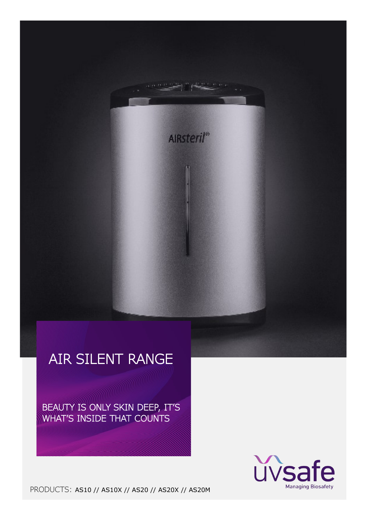

**AIRsteril®** 

BEAUTY IS ONLY SKIN DEEP, IT'S WHAT'S INSIDE THAT COUNTS



PRODUCTS: AS10 // AS10X // AS20 // AS20X // AS20M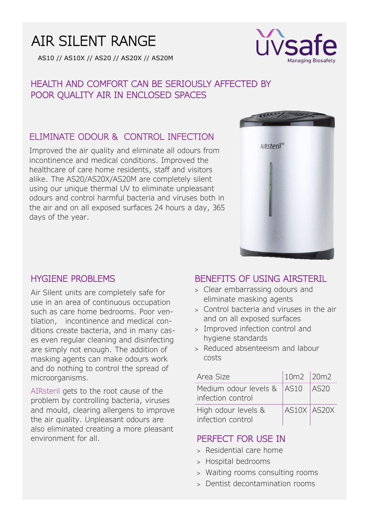# AIR SILENT RANGE

AS10 // AS10X // AS20 // AS20X // AS20M



# HEALTH AND COMFORT CAN BE SERIOUSLY AFFECTED BY POOR QUALITY AIR IN ENCLOSED SPACES

# ELIMINATE ODOUR & CONTROL INFECTION

Improved the air quality and eliminate all odours from incontinence and medical conditions. Improved the healthcare of care home residents, staff and visitors alike. The AS20/AS20X/AS20M are completely silent using our unique thermal UV to eliminate unpleasant odours and control harmful bacteria and viruses both in the air and on all exposed surfaces 24 hours a day, 365 days of the year.



### HYGIENE PROBLEMS

Air Silent units are completely safe for use in an area of continuous occupation such as care home bedrooms. Poor ventilation, incontinence and medical conditions create bacteria, and in many cases even regular cleaning and disinfecting are simply not enough. The addition of masking agents can make odours work and do nothing to control the spread of microorganisms.

AIRsteril gets to the root cause of the problem by controlling bacteria, viruses and mould, clearing allergens to improve the air quality. Unpleasant odours are also eliminated creating a more pleasant environment for all. **PERFECT FOR USE IN** 

### BENEFITS OF USING AIRSTERIL

- Clear embarrassing odours and eliminate masking agents
- Control bacteria and viruses in the air and on all exposed surfaces
- Improved infection control and hygiene standards
- Reduced absenteeism and labour costs

| Area Size                                       | 10m2 20m2   |      |
|-------------------------------------------------|-------------|------|
| Medium odour levels & AS10<br>infection control |             | AS20 |
| High odour levels &<br>infection control        | AS10X AS20X |      |

- Residential care home
- > Hospital bedrooms
- Waiting rooms consulting rooms
- Dentist decontamination rooms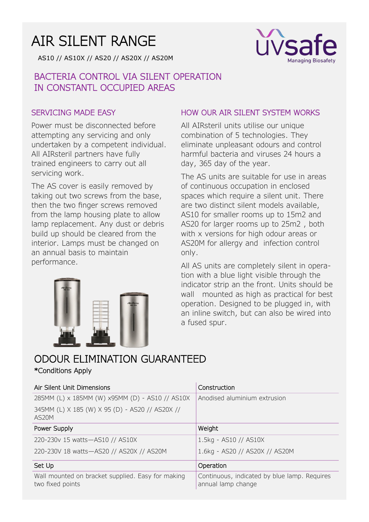# AIR SILENT RANGE

AS10 // AS10X // AS20 // AS20X // AS20M

# BACTERIA CONTROL VIA SILENT OPERATION IN CONSTANTL OCCUPIED AREAS

#### SERVICING MADE EASY

Power must be disconnected before attempting any servicing and only undertaken by a competent individual. All AIRsteril partners have fully trained engineers to carry out all servicing work.

The AS cover is easily removed by taking out two screws from the base, then the two finger screws removed from the lamp housing plate to allow lamp replacement. Any dust or debris build up should be cleared from the interior. Lamps must be changed on an annual basis to maintain performance.



#### HOW OUR AIR SILENT SYSTEM WORKS

**IVS** 

**Managing Biosafety** 

All AIRsteril units utilise our unique combination of 5 technologies. They eliminate unpleasant odours and control harmful bacteria and viruses 24 hours a day, 365 day of the year.

The AS units are suitable for use in areas of continuous occupation in enclosed spaces which require a silent unit. There are two distinct silent models available, AS10 for smaller rooms up to 15m2 and AS20 for larger rooms up to 25m2 , both with x versions for high odour areas or AS20M for allergy and infection control only.

All AS units are completely silent in operation with a blue light visible through the indicator strip an the front. Units should be wall mounted as high as practical for best operation. Designed to be plugged in, with an inline switch, but can also be wired into a fused spur.

# ODOUR ELIMINATION GUARANTEED \*Conditions Apply

#### Air Silent Unit Dimensions Construction 285MM (L) x 185MM (W) x95MM (D) - AS10 // AS10X 345MM (L) X 185 (W) X 95 (D) - AS20 // AS20X // AS20M Anodised aluminium extrusion Power Supply Neight 220-230v 15 watts—AS10 // AS10X 220-230V 18 watts—AS20 // AS20X // AS20M 1.5kg - AS10 // AS10X 1.6kg - AS20 // AS20X // AS20M Set Up and Contract Contract Contract Contract Contract Contract Contract Contract Contract Contract Contract Contract Contract Contract Contract Contract Contract Contract Contract Contract Contract Contract Contract Cont Wall mounted on bracket supplied. Easy for making two fixed points Continuous, indicated by blue lamp. Requires annual lamp change